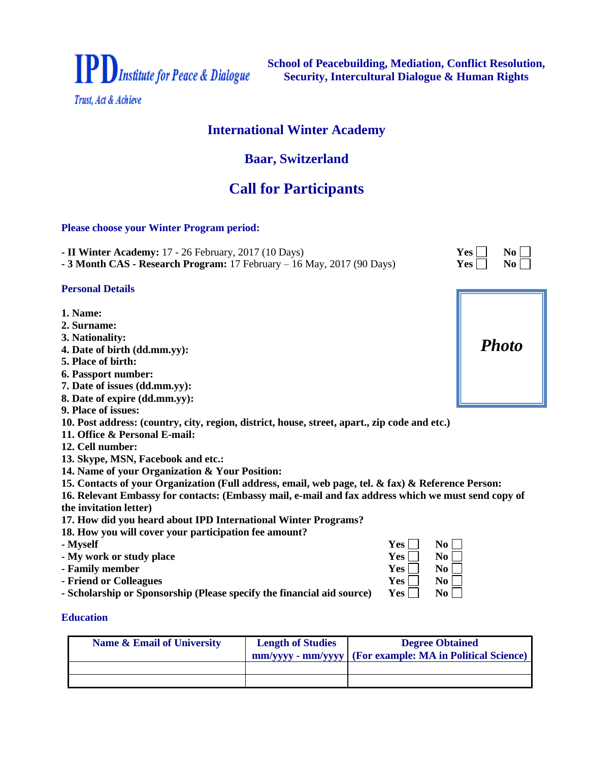

**School of Peacebuilding, Mediation, Conflict Resolution, Security, Intercultural Dialogue & Human Rights**

# **International Winter Academy**

# **Baar, Switzerland**

# **Call for Participants**

# **Please choose your Winter Program period:**

**- II** Winter Academy: 17 - 26 February, 2017 (10 Days)  $Yes \Box \qquad No \Box$ 

**- 3 Month CAS - Research Program: 17 February – 16 May, 2017 (90 Days)** 

#### **Personal Details**

- **1. Name:**
- **2. Surname:**
- **3. Nationality:**
- **4. Date of birth (dd.mm.yy):**
- **5. Place of birth:**
- **6. Passport number:**
- **7. Date of issues (dd.mm.yy):**
- **8. Date of expire (dd.mm.yy):**
- **9. Place of issues:**

**10. Post address: (country, city, region, district, house, street, apart., zip code and etc.)**

- **11. Office & Personal E-mail:**
- **12. Cell number:**
- **13. Skype, MSN, Facebook and etc.:**
- **14. Name of your Organization & Your Position:**
- **15. Contacts of your Organization (Full address, email, web page, tel. & fax) & Reference Person:**

**16. Relevant Embassy for contacts: (Embassy mail, e-mail and fax address which we must send copy of the invitation letter)**

- **17. How did you heard about IPD International Winter Programs?**
- **18. How you will cover your participation fee amount?**
- 
- **- My** work or study place **Y**
- **- Family member Y**
- **- Friend** or Colleagues **Y**
- **- Scholarship or Sponsorship (Please specify the financial aid source) Yes No**

# **Education**

| Name & Email of University | <b>Length of Studies</b> | <b>Degree Obtained</b>                                     |
|----------------------------|--------------------------|------------------------------------------------------------|
|                            |                          | mm/yyyy - mm/yyyy   (For example: MA in Political Science) |
|                            |                          |                                                            |
|                            |                          |                                                            |

| - Myself                                                               | Yes l | No l |
|------------------------------------------------------------------------|-------|------|
| - My work or study place                                               | Yes   | No l |
| - Family member                                                        | Yes   | No l |
| - Friend or Colleagues                                                 | Yes   | No l |
| - Scholarship or Sponsorship (Please specify the financial aid source) | Yes   | No l |

| 1 L.J. I | 1 J U J   |
|----------|-----------|
| Yes      | $\bf{No}$ |
|          |           |
|          |           |

| <b>Photo</b> |
|--------------|
|--------------|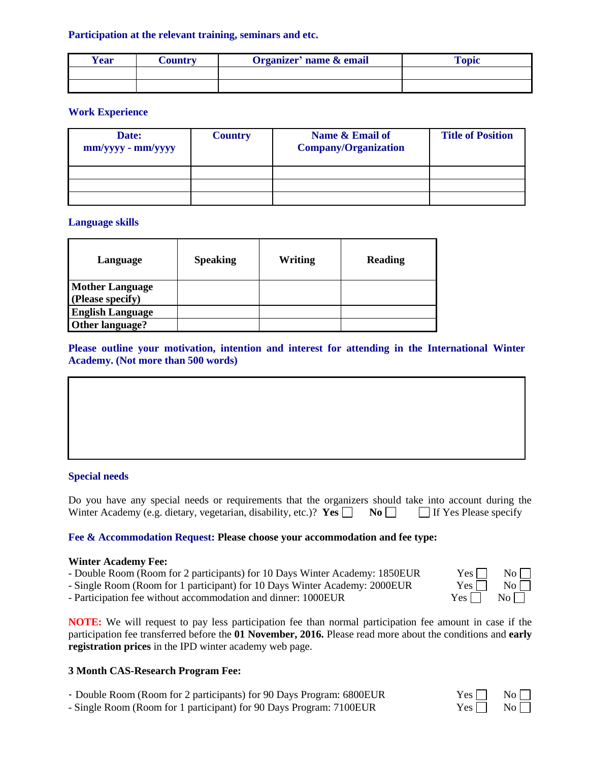# **Participation at the relevant training, seminars and etc.**

| <b>Year</b> | Country | Organizer' name & email | <b>Topic</b> |
|-------------|---------|-------------------------|--------------|
|             |         |                         |              |
|             |         |                         |              |

# **Work Experience**

| Date:<br>$mm/yyy - mm/yyyy$ | <b>Country</b> | Name & Email of<br><b>Company/Organization</b> | <b>Title of Position</b> |
|-----------------------------|----------------|------------------------------------------------|--------------------------|
|                             |                |                                                |                          |
|                             |                |                                                |                          |
|                             |                |                                                |                          |

# **Language skills**

| Language                | <b>Speaking</b> | Writing | Reading |
|-------------------------|-----------------|---------|---------|
| <b>Mother Language</b>  |                 |         |         |
| (Please specify)        |                 |         |         |
| <b>English Language</b> |                 |         |         |
| Other language?         |                 |         |         |

**Please outline your motivation, intention and interest for attending in the International Winter Academy. (Not more than 500 words)**



# **Special needs**

Do you have any special needs or requirements that the organizers should take into account during the Winter Academy (e.g. dietary, vegetarian, disability, etc.)? **Yes**  $\Box$  **No**  $\Box$  If Yes Please specify

# **Fee & Accommodation Request: Please choose your accommodation and fee type:**

#### **Winter Academy Fee:**

- Double Room (Room for 2 participants) for 10 Days Winter Academy: 1850EUR
- Single Room (Room for 1 participant) for 10 Days Winter Academy: 2000EUR
- Participation fee without accommodation and dinner: 1000EUR Y

**NOTE:** We will request to pay less participation fee than normal participation fee amount in case if the participation fee transferred before the **01 November, 2016.** Please read more about the conditions and **early registration prices** in the IPD winter academy web page.

# **3 Month CAS-Research Program Fee:**

- Double Room (Room for 2 participants) for 90 Days Program: 6800EUR Yes
- Single Room (Room for 1 participant) for 90 Days Program: 7100EUR Yes

| $Yes \mid$ | No |
|------------|----|
| Yes        | No |
| 7es [      | No |

| 2S | No l |  |
|----|------|--|
| 2S | No l |  |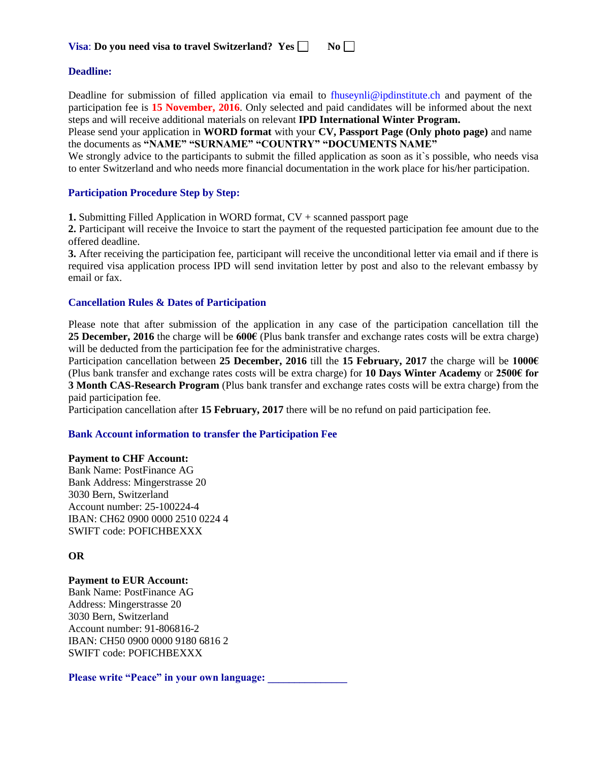| Visa: Do you need visa to travel Switzerland? Yes |  |  |  |  |  | $No \Box$ |
|---------------------------------------------------|--|--|--|--|--|-----------|
|---------------------------------------------------|--|--|--|--|--|-----------|

### **Deadline:**

Deadline for submission of filled application via email to [fhuseynli@ipdinstitute.ch](mailto:fhuseynli@ipdinstitute.ch) and payment of the participation fee is **15 November, 2016**. Only selected and paid candidates will be informed about the next steps and will receive additional materials on relevant **IPD International Winter Program.** 

Please send your application in **WORD format** with your **CV, Passport Page (Only photo page)** and name the documents as **"NAME" "SURNAME" "COUNTRY" "DOCUMENTS NAME"**

We strongly advice to the participants to submit the filled application as soon as it`s possible, who needs visa to enter Switzerland and who needs more financial documentation in the work place for his/her participation.

#### **Participation Procedure Step by Step:**

**1.** Submitting Filled Application in WORD format, CV + scanned passport page

**2.** Participant will receive the Invoice to start the payment of the requested participation fee amount due to the offered deadline.

**3.** After receiving the participation fee, participant will receive the unconditional letter via email and if there is required visa application process IPD will send invitation letter by post and also to the relevant embassy by email or fax.

#### **Cancellation Rules & Dates of Participation**

Please note that after submission of the application in any case of the participation cancellation till the **25 December, 2016** the charge will be **600€** (Plus bank transfer and exchange rates costs will be extra charge) will be deducted from the participation fee for the administrative charges.

Participation cancellation between **25 December, 2016** till the **15 February, 2017** the charge will be **1000€** (Plus bank transfer and exchange rates costs will be extra charge) for **10 Days Winter Academy** or **2500€ for 3 Month CAS-Research Program** (Plus bank transfer and exchange rates costs will be extra charge) from the paid participation fee.

Participation cancellation after **15 February, 2017** there will be no refund on paid participation fee.

#### **Bank Account information to transfer the Participation Fee**

#### **Payment to CHF Account:**

Bank Name: PostFinance AG Bank Address: Mingerstrasse 20 3030 Bern, Switzerland Account number: 25-100224-4 IBAN: CH62 0900 0000 2510 0224 4 SWIFT code: POFICHBEXXX

#### **OR**

#### **Payment to EUR Account:**

Bank Name: PostFinance AG Address: Mingerstrasse 20 3030 Bern, Switzerland Account number: 91-806816-2 IBAN: CH50 0900 0000 9180 6816 2 SWIFT code: POFICHBEXXX

Please write "Peace" in your own language: